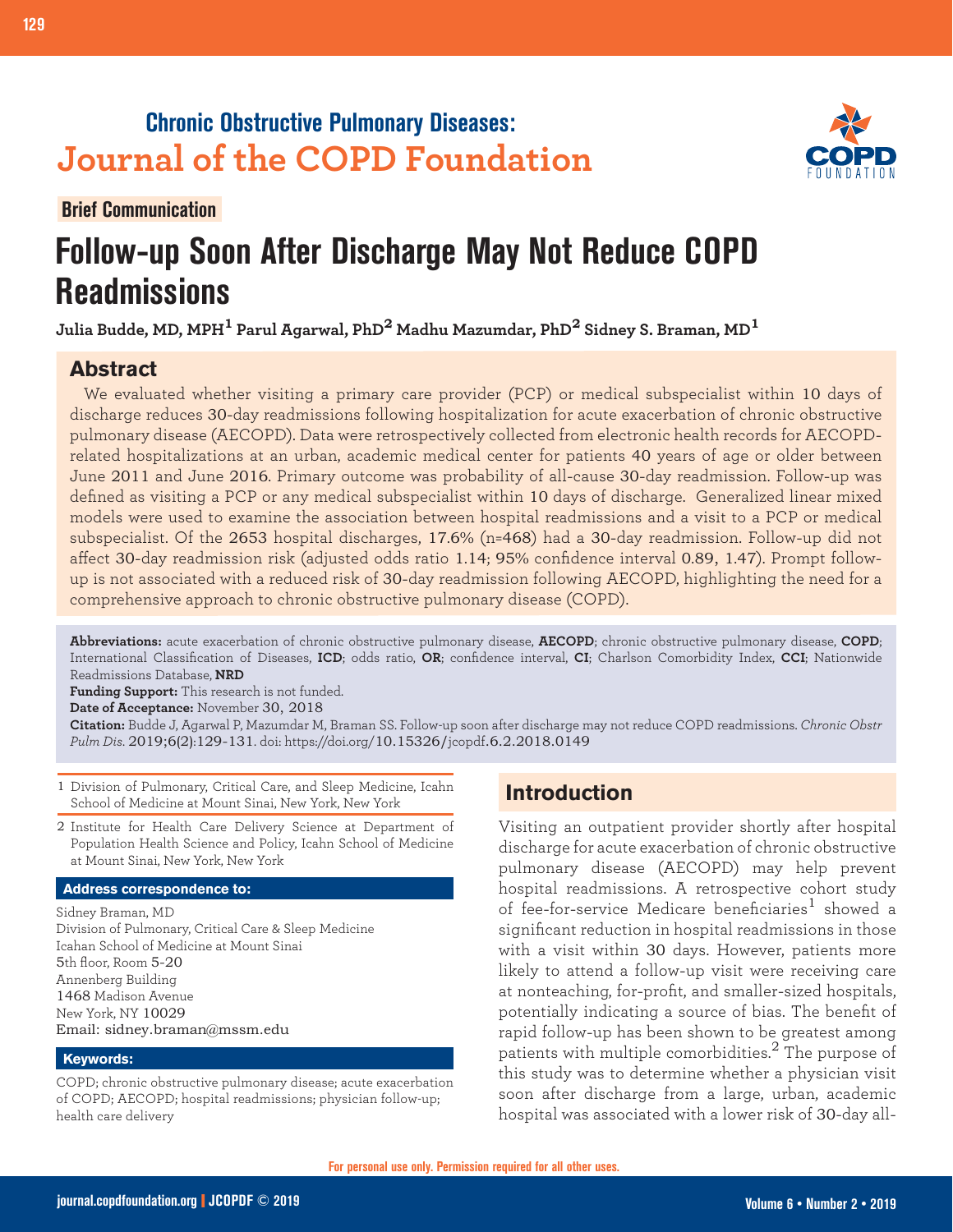## **Chronic Obstructive Pulmonary Diseases: Journal of the COPD Foundation**

**Brief Communication**

**129 Follow-up and COPD Readmissions**



# **Follow-up Soon After Discharge May Not Reduce COPD Readmissions**

**Julia Budde, MD, MPH1 Parul Agarwal, PhD2 Madhu Mazumdar, PhD2 Sidney S. Braman, MD<sup>1</sup>**

## **Abstract**

We evaluated whether visiting a primary care provider (PCP) or medical subspecialist within 10 days of discharge reduces 30-day readmissions following hospitalization for acute exacerbation of chronic obstructive pulmonary disease (AECOPD). Data were retrospectively collected from electronic health records for AECOPDrelated hospitalizations at an urban, academic medical center for patients 40 years of age or older between June 2011 and June 2016. Primary outcome was probability of all-cause 30-day readmission. Follow-up was defined as visiting a PCP or any medical subspecialist within 10 days of discharge. Generalized linear mixed models were used to examine the association between hospital readmissions and a visit to a PCP or medical subspecialist. Of the 2653 hospital discharges, 17.6% (n=468) had a 30-day readmission. Follow-up did not affect 30-day readmission risk (adjusted odds ratio 1.14; 95% confidence interval 0.89, 1.47). Prompt followup is not associated with a reduced risk of 30-day readmission following AECOPD, highlighting the need for a comprehensive approach to chronic obstructive pulmonary disease (COPD).

**Abbreviations:** acute exacerbation of chronic obstructive pulmonary disease, **AECOPD**; chronic obstructive pulmonary disease, **COPD**; International Classification of Diseases, **ICD**; odds ratio, **OR**; confidence interval, **CI**; Charlson Comorbidity Index, **CCI**; Nationwide Readmissions Database, **NRD**

**Funding Support:** This research is not funded.

**Date of Acceptance:** November 30, 2018

**Citation:** Budde J, Agarwal P, Mazumdar M, Braman SS. Follow-up soon after discharge may not reduce COPD readmissions. *Chronic Obstr Pulm Dis*. 2019;6(2):129-131. doi: https://doi.org/10.15326/jcopdf.6.2.2018.0149

1 Division of Pulmonary, Critical Care, and Sleep Medicine, Icahn School of Medicine at Mount Sinai, New York, New York

2 Institute for Health Care Delivery Science at Department of Population Health Science and Policy, Icahn School of Medicine at Mount Sinai, New York, New York

#### **Address correspondence to:**

Sidney Braman, MD Division of Pulmonary, Critical Care & Sleep Medicine Icahan School of Medicine at Mount Sinai 5th floor, Room 5-20 Annenberg Building 1468 Madison Avenue New York, NY 10029 Email: sidney.braman@mssm.edu

#### **Keywords:**

COPD; chronic obstructive pulmonary disease; acute exacerbation of COPD; AECOPD; hospital readmissions; physician follow-up; health care delivery

## **Introduction**

Visiting an outpatient provider shortly after hospital discharge for acute exacerbation of chronic obstructive pulmonary disease (AECOPD) may help prevent hospital readmissions. A retrospective cohort study of fee-for-service Medicare beneficiaries<sup>1</sup> showed a significant reduction in hospital readmissions in those with a visit within 30 days. However, patients more likely to attend a follow-up visit were receiving care at nonteaching, for-profit, and smaller-sized hospitals, potentially indicating a source of bias. The benefit of rapid follow-up has been shown to be greatest among patients with multiple comorbidities.<sup>2</sup> The purpose of this study was to determine whether a physician visit soon after discharge from a large, urban, academic hospital was associated with a lower risk of 30-day all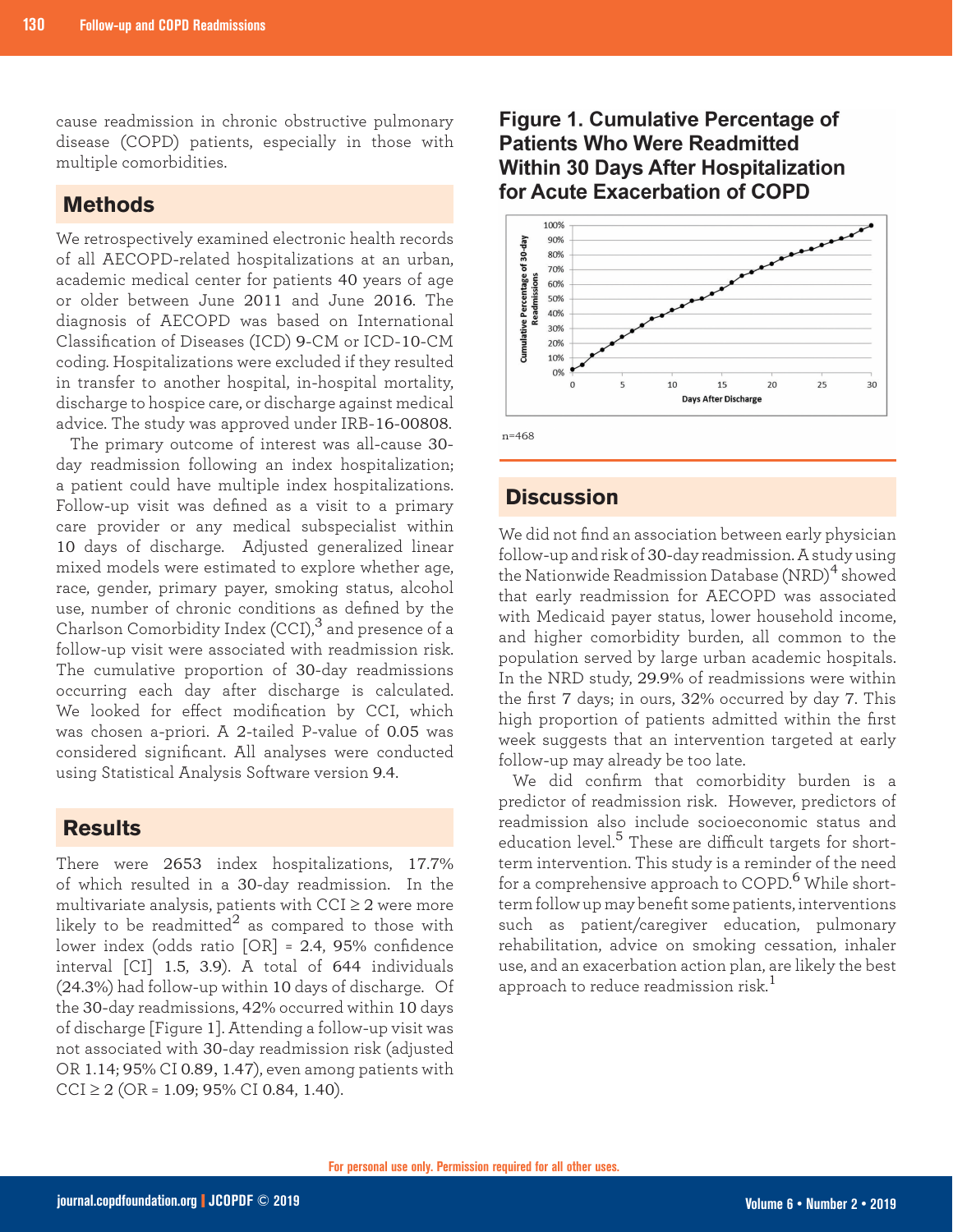cause readmission in chronic obstructive pulmonary disease (COPD) patients, especially in those with multiple comorbidities.

#### **Methods**

We retrospectively examined electronic health records of all AECOPD-related hospitalizations at an urban, academic medical center for patients 40 years of age or older between June 2011 and June 2016. The diagnosis of AECOPD was based on International Classification of Diseases (ICD) 9-CM or ICD-10-CM coding. Hospitalizations were excluded if they resulted in transfer to another hospital, in-hospital mortality, discharge to hospice care, or discharge against medical advice. The study was approved under IRB-16-00808.

The primary outcome of interest was all-cause 30 day readmission following an index hospitalization; a patient could have multiple index hospitalizations. Follow-up visit was defined as a visit to a primary care provider or any medical subspecialist within 10 days of discharge. Adjusted generalized linear mixed models were estimated to explore whether age, race, gender, primary payer, smoking status, alcohol use, number of chronic conditions as defined by the Charlson Comorbidity Index (CCI),<sup>3</sup> and presence of a follow-up visit were associated with readmission risk. The cumulative proportion of 30-day readmissions occurring each day after discharge is calculated. We looked for effect modification by CCI, which was chosen a-priori. A 2-tailed P-value of 0.05 was considered significant. All analyses were conducted using Statistical Analysis Software version 9.4.

## **Results**

There were 2653 index hospitalizations, 17.7% of which resulted in a 30-day readmission. In the multivariate analysis, patients with  $CCI \geq 2$  were more likely to be readmitted<sup>2</sup> as compared to those with lower index (odds ratio [OR] = 2.4, 95% confidence interval [CI] 1.5, 3.9). A total of 644 individuals (24.3%) had follow-up within 10 days of discharge. Of the 30-day readmissions, 42% occurred within 10 days of discharge [Figure 1]. Attending a follow-up visit was not associated with 30-day readmission risk (adjusted OR 1.14; 95% CI 0.89, 1.47), even among patients with  $CCI \geq 2$  (OR = 1.09; 95% CI 0.84, 1.40).

## **Figure 1. Cumulative Percentage of Patients Who Were Readmitted Within 30 Days After Hospitalization** for Acute Exacerbation of COPD



**Discussion**

We did not find an association between early physician follow-up and risk of 30-day readmission. A study using the Nationwide Readmission Database (NRD)<sup>4</sup> showed that early readmission for AECOPD was associated with Medicaid payer status, lower household income, and higher comorbidity burden, all common to the population served by large urban academic hospitals. In the NRD study, 29.9% of readmissions were within the first 7 days; in ours, 32% occurred by day 7. This high proportion of patients admitted within the first week suggests that an intervention targeted at early follow-up may already be too late.

We did confirm that comorbidity burden is a predictor of readmission risk. However, predictors of readmission also include socioeconomic status and education level.<sup>5</sup> These are difficult targets for shortterm intervention. This study is a reminder of the need for a comprehensive approach to COPD.<sup>6</sup> While shortterm follow up may benefit some patients, interventions such as patient/caregiver education, pulmonary rehabilitation, advice on smoking cessation, inhaler use, and an exacerbation action plan, are likely the best approach to reduce readmission risk. $^1$